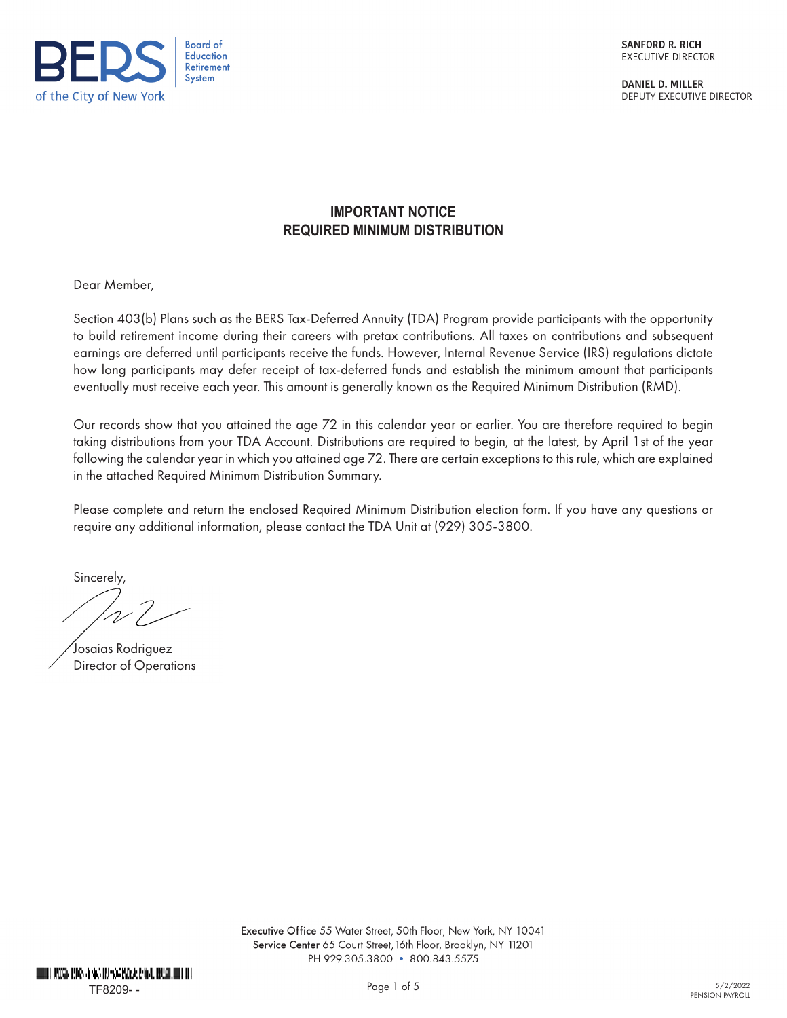

**SANFORD R. RICH** EXECUTIVE DIRECTOR

**DANIEL D. MILLER** DEPUTY EXECUTIVE DIRECTOR

# **IMPORTANT NOTICE REQUIRED MINIMUM DISTRIBUTION**

Dear Member,

Section 403(b) Plans such as the BERS Tax-Deferred Annuity (TDA) Program provide participants with the opportunity to build retirement income during their careers with pretax contributions. All taxes on contributions and subsequent earnings are deferred until participants receive the funds. However, Internal Revenue Service (IRS) regulations dictate how long participants may defer receipt of tax-deferred funds and establish the minimum amount that participants eventually must receive each year. This amount is generally known as the Required Minimum Distribution (RMD).

Our records show that you attained the age 72 in this calendar year or earlier. You are therefore required to begin taking distributions from your TDA Account. Distributions are required to begin, at the latest, by April 1st of the year following the calendar year in which you attained age 72. There are certain exceptions to this rule, which are explained in the attached Required Minimum Distribution Summary.

Please complete and return the enclosed Required Minimum Distribution election form. If you have any questions or require any additional information, please contact the TDA Unit at (929) 305-3800.

Sincerely,

Josaias Rodriguez Director of Operations

Executive Office 55 Water Street, 50th Floor, New York, NY 10041 Service Center 65 Court Street, 16th Floor, Brooklyn, NY 11201 PH 929.305.3800 · 800.843.5575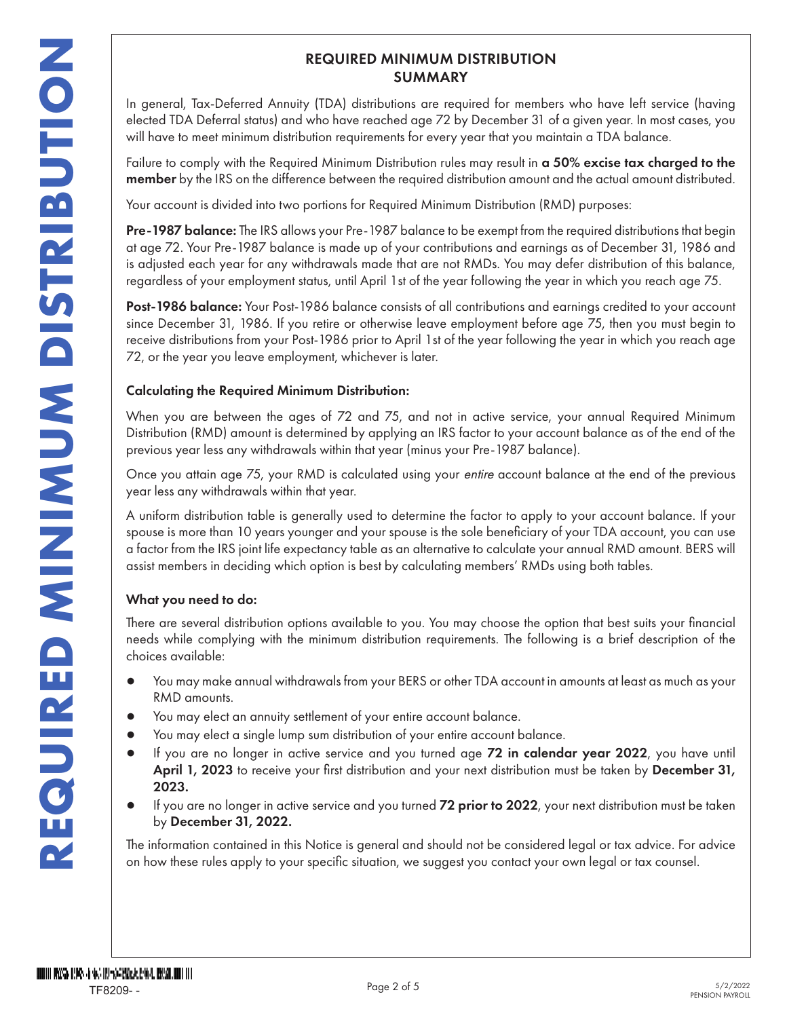### REQUIRED MINIMUM DISTRIBUTION SUMMARY

In general, Tax-Deferred Annuity (TDA) distributions are required for members who have left service (having elected TDA Deferral status) and who have reached age 72 by December 31 of a given year. In most cases, you will have to meet minimum distribution requirements for every year that you maintain a TDA balance.

Failure to comply with the Required Minimum Distribution rules may result in a 50% excise tax charged to the member by the IRS on the difference between the required distribution amount and the actual amount distributed.

Your account is divided into two portions for Required Minimum Distribution (RMD) purposes:

Pre-1987 balance: The IRS allows your Pre-1987 balance to be exempt from the required distributions that begin at age 72. Your Pre-1987 balance is made up of your contributions and earnings as of December 31, 1986 and is adjusted each year for any withdrawals made that are not RMDs. You may defer distribution of this balance, regardless of your employment status, until April 1st of the year following the year in which you reach age 75.

Post-1986 balance: Your Post-1986 balance consists of all contributions and earnings credited to your account since December 31, 1986. If you retire or otherwise leave employment before age 75, then you must begin to receive distributions from your Post-1986 prior to April 1st of the year following the year in which you reach age 72, or the year you leave employment, whichever is later.

### Calculating the Required Minimum Distribution:

When you are between the ages of 72 and 75, and not in active service, your annual Required Minimum Distribution (RMD) amount is determined by applying an IRS factor to your account balance as of the end of the previous year less any withdrawals within that year (minus your Pre-1987 balance).

Once you attain age 75, your RMD is calculated using your entire account balance at the end of the previous year less any withdrawals within that year.

A uniform distribution table is generally used to determine the factor to apply to your account balance. If your spouse is more than 10 years younger and your spouse is the sole beneficiary of your TDA account, you can use a factor from the IRS joint life expectancy table as an alternative to calculate your annual RMD amount. BERS will assist members in deciding which option is best by calculating members' RMDs using both tables.

### What you need to do:

There are several distribution options available to you. You may choose the option that best suits your financial needs while complying with the minimum distribution requirements. The following is a brief description of the choices available:

- You may make annual withdrawals from your BERS or other TDA account in amounts at least as much as your RMD amounts.
- You may elect an annuity settlement of your entire account balance.
- You may elect a single lump sum distribution of your entire account balance.
- If you are no longer in active service and you turned age 72 in calendar year 2022, you have until April 1, 2023 to receive your first distribution and your next distribution must be taken by December 31, 2023.
- If you are no longer in active service and you turned 72 prior to 2022, your next distribution must be taken by December 31, 2022.

The information contained in this Notice is general and should not be considered legal or tax advice. For advice on how these rules apply to your specific situation, we suggest you contact your own legal or tax counsel.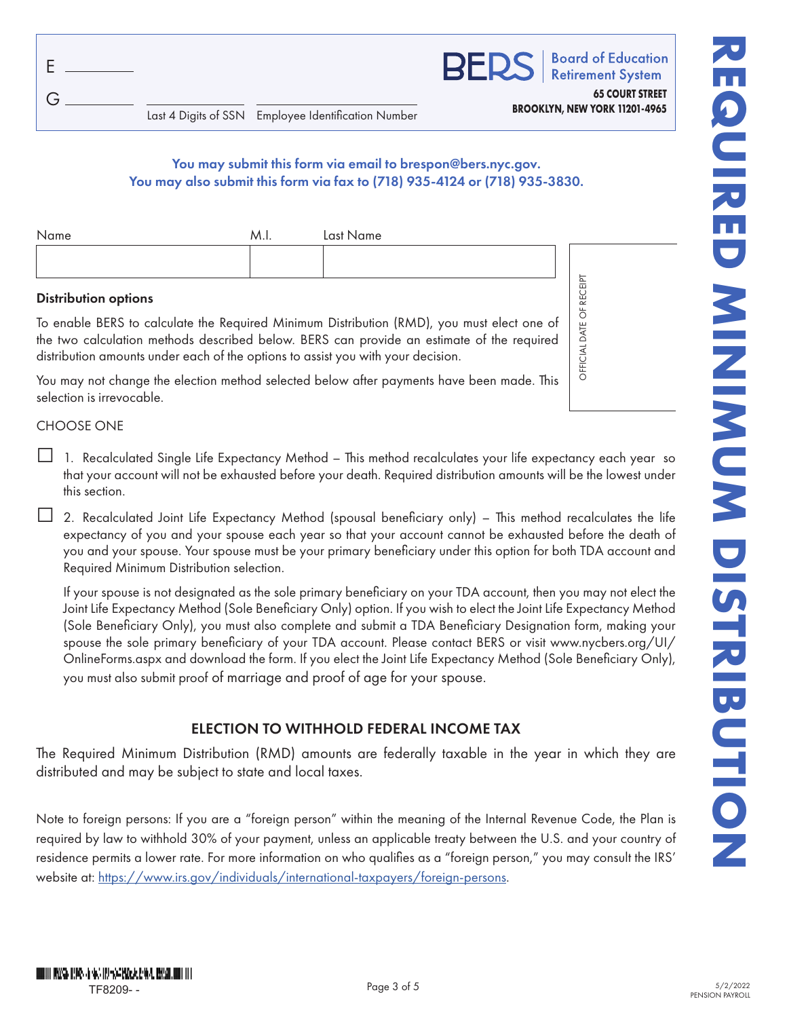| $E$ . |  |
|-------|--|
| G     |  |

**Retirement System 65 COURT STREET**

OFFICIAL DATE OF RECEIPT

OFFICIAL DATE OF RECEIPT

### You may submit this form via email to brespon@bers.nyc.gov. You may also submit this form via fax to (718) 935-4124 or (718) 935-3830.

| Name | M.I. | Last Name |
|------|------|-----------|
|      |      |           |
|      |      |           |

### Distribution options

To enable BERS to calculate the Required Minimum Distribution (RMD), you must elect one of the two calculation methods described below. BERS can provide an estimate of the required distribution amounts under each of the options to assist you with your decision.

You may not change the election method selected below after payments have been made. This selection is irrevocable.

### CHOOSE ONE

- □ 1. Recalculated Single Life Expectancy Method This method recalculates your life expectancy each year so that your account will not be exhausted before your death. Required distribution amounts will be the lowest under this section.
- $\Box$  2. Recalculated Joint Life Expectancy Method (spousal beneficiary only) This method recalculates the life expectancy of you and your spouse each year so that your account cannot be exhausted before the death of you and your spouse. Your spouse must be your primary beneficiary under this option for both TDA account and Required Minimum Distribution selection.

If your spouse is not designated as the sole primary beneficiary on your TDA account, then you may not elect the Joint Life Expectancy Method (Sole Beneficiary Only) option. If you wish to elect the Joint Life Expectancy Method (Sole Beneficiary Only), you must also complete and submit a TDA Beneficiary Designation form, making your spouse the sole primary beneficiary of your TDA account. Please contact BERS or visit www.nycbers.org/UI/ OnlineForms.aspx and download the form. If you elect the Joint Life Expectancy Method (Sole Beneficiary Only), you must also submit proof of marriage and proof of age for your spouse.

### ELECTION TO WITHHOLD FEDERAL INCOME TAX

The Required Minimum Distribution (RMD) amounts are federally taxable in the year in which they are distributed and may be subject to state and local taxes.

Note to foreign persons: If you are a "foreign person" within the meaning of the Internal Revenue Code, the Plan is required by law to withhold 30% of your payment, unless an applicable treaty between the U.S. and your country of residence permits a lower rate. For more information on who qualifies as a "foreign person," you may consult the IRS' website at: https://www.irs.gov/individuals/international-taxpayers/foreign-persons.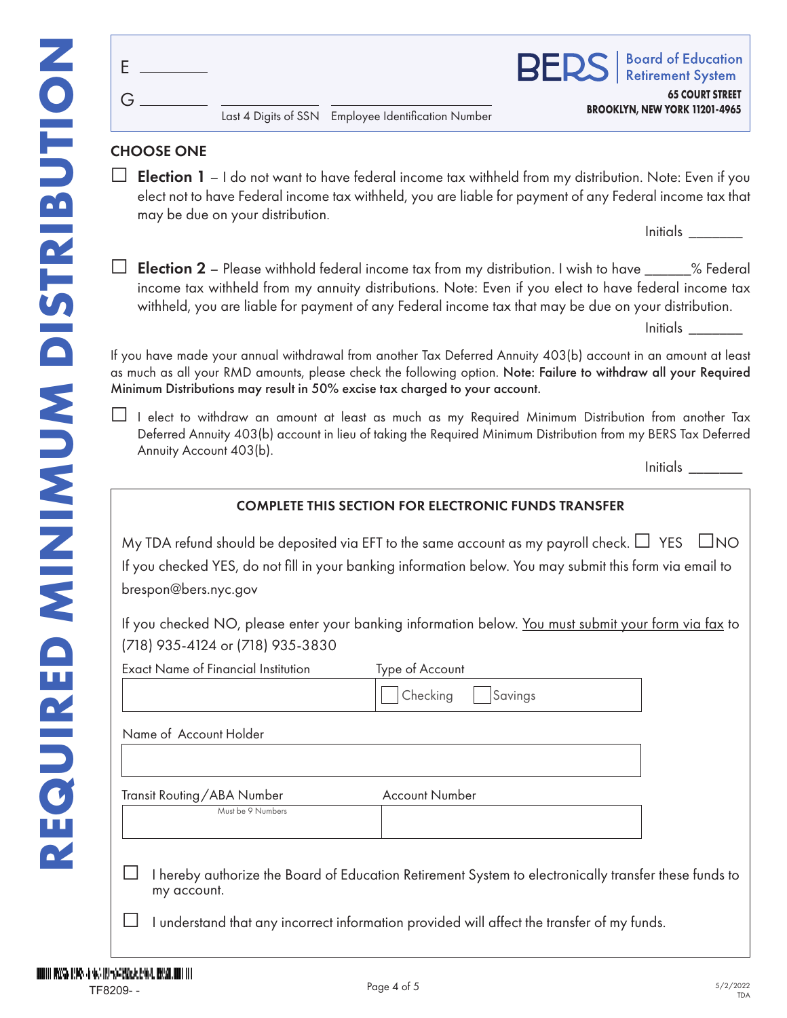|                               | <b>Board of Education</b><br><b>RS</b>   Board of Education |
|-------------------------------|-------------------------------------------------------------|
|                               | <b>65 COURT STREET</b>                                      |
| BROOKLYN, NEW YORK 11201-4965 |                                                             |

BE

#### **BROOKLYN, NEW YORK 11201-4965** Last 4 Digits of SSN Employee Identification Number

## CHOOSE ONE

G

E

 $\Box$  Election 1 – I do not want to have federal income tax withheld from my distribution. Note: Even if you elect not to have Federal income tax withheld, you are liable for payment of any Federal income tax that may be due on your distribution.

Initials \_\_\_\_\_\_\_

**Election 2** – Please withhold federal income tax from my distribution. I wish to have \_\_\_\_\_\_% Federal income tax withheld from my annuity distributions. Note: Even if you elect to have federal income tax withheld, you are liable for payment of any Federal income tax that may be due on your distribution.

| $\cdots$<br>nitials<br>. <i>. .</i> |  |
|-------------------------------------|--|
|-------------------------------------|--|

If you have made your annual withdrawal from another Tax Deferred Annuity 403(b) account in an amount at least as much as all your RMD amounts, please check the following option. Note: Failure to withdraw all your Required Minimum Distributions may result in 50% excise tax charged to your account.

□ I elect to withdraw an amount at least as much as my Required Minimum Distribution from another Tax Deferred Annuity 403(b) account in lieu of taking the Required Minimum Distribution from my BERS Tax Deferred Annuity Account 403(b).

Initials \_\_\_\_\_\_\_

### COMPLETE THIS SECTION FOR ELECTRONIC FUNDS TRANSFER

My TDA refund should be deposited via EFT to the same account as my payroll check.  $\Box$  YES  $\Box$ NO If you checked YES, do not fill in your banking information below. You may submit this form via email to brespon@bers.nyc.gov

If you checked NO, please enter your banking information below. You must submit your form via fax to (718) 935-4124 or (718) 935-3830

| <b>Exact Name of Financial Institution</b> | Type of Account       |  |
|--------------------------------------------|-----------------------|--|
|                                            | Checking<br>Savings   |  |
|                                            |                       |  |
| Name of Account Holder                     |                       |  |
|                                            |                       |  |
|                                            |                       |  |
| Transit Routing/ABA Number                 | <b>Account Number</b> |  |
| Must be 9 Numbers                          |                       |  |
|                                            |                       |  |
|                                            |                       |  |

I hereby authorize the Board of Education Retirement System to electronically transfer these funds to my account.

I understand that any incorrect information provided will affect the transfer of my funds.